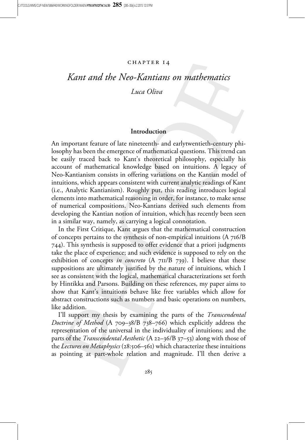# chapter 1 4

# Kant and the Neo-Kantians on mathematics

Luca Oliva

# Introduction

An important feature of late nineteenth- and earlytwentieth-century philosophy has been the emergence of mathematical questions. This trend can be easily traced back to Kant's theoretical philosophy, especially his account of mathematical knowledge based on intuitions. A legacy of Neo-Kantianism consists in offering variations on the Kantian model of intuitions, which appears consistent with current analytic readings of Kant (i.e., Analytic Kantianism). Roughly put, this reading introduces logical elements into mathematical reasoning in order, for instance, to make sense of numerical compositions. Neo-Kantians derived such elements from developing the Kantian notion of intuition, which has recently been seen in a similar way, namely, as carrying a logical connotation.

In the First Critique, Kant argues that the mathematical construction of concepts pertains to the synthesis of non-empirical intuitions (A 716/B 744). This synthesis is supposed to offer evidence that a priori judgments take the place of experience; and such evidence is supposed to rely on the exhibition of concepts in concreto  $(A \text{ 711/B } \text{ 739}).$  I believe that these suppositions are ultimately justified by the nature of intuitions, which I see as consistent with the logical, mathematical characterizations set forth by Hintikka and Parsons. Building on these references, my paper aims to show that Kant's intuitions behave like free variables which allow for abstract constructions such as numbers and basic operations on numbers, like addition.

I'll support my thesis by examining the parts of the *Transcendental* Doctrine of Method (A 709–38/B 738–766) which explicitly address the representation of the universal in the individuality of intuitions; and the parts of the *Transcendental Aesthetic* (A 22–36/B 37–53) along with those of the *Lectures on Metaphysics* (28:506–561) which characterize these intuitions as pointing at part-whole relation and magnitude. I'll then derive a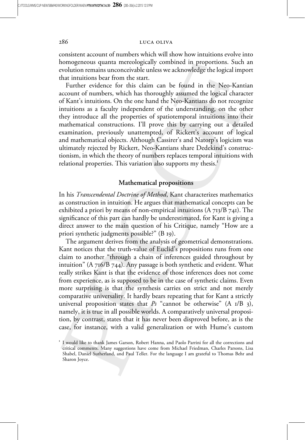consistent account of numbers which will show how intuitions evolve into homogeneous quanta mereologically combined in proportions. Such an evolution remains unconceivable unless we acknowledge the logical import that intuitions bear from the start.

Further evidence for this claim can be found in the Neo-Kantian account of numbers, which has thoroughly assumed the logical character of Kant's intuitions. On the one hand the Neo-Kantians do not recognize intuitions as a faculty independent of the understanding, on the other they introduce all the properties of spatiotemporal intuitions into their mathematical constructions. I'll prove this by carrying out a detailed examination, previously unattempted, of Rickert's account of logical and mathematical objects. Although Cassirer's and Natorp's logicism was ultimately rejected by Rickert, Neo-Kantians share Dedekind's constructionism, in which the theory of numbers replaces temporal intuitions with relational properties. This variation also supports my thesis.<sup>1</sup>

# Mathematical propositions

In his Transcendental Doctrine of Method, Kant characterizes mathematics as construction in intuition. He argues that mathematical concepts can be exhibited a priori by means of non-empirical intuitions  $(A \, \frac{713}{B} \, \frac{741}{B})$ . The significance of this part can hardly be underestimated, for Kant is giving a direct answer to the main question of his Critique, namely "How are a priori synthetic judgments possible?" (B 19).

The argument derives from the analysis of geometrical demonstrations. Kant notices that the truth-value of Euclid's propositions runs from one claim to another "through a chain of inferences guided throughout by intuition" (A 716/B 744). Any passage is both synthetic and evident. What really strikes Kant is that the evidence of those inferences does not come from experience, as is supposed to be in the case of synthetic claims. Even more surprising is that the synthesis carries on strict and not merely comparative universality. It hardly bears repeating that for Kant a strictly universal proposition states that  $Ps$  "cannot be otherwise" (A  $1/B$  3), namely, it is true in all possible worlds. A comparatively universal proposition, by contrast, states that it has never been disproved before, as is the case, for instance, with a valid generalization or with Hume's custom

<sup>1</sup> I would like to thank James Garson, Robert Hanna, and Paolo Parrini for all the corrections and critical comments. Many suggestions have come from Michael Friedman, Charles Parsons, Lisa Shabel, Daniel Sutherland, and Paul Teller. For the language I am grateful to Thomas Behr and Sharon Joyce.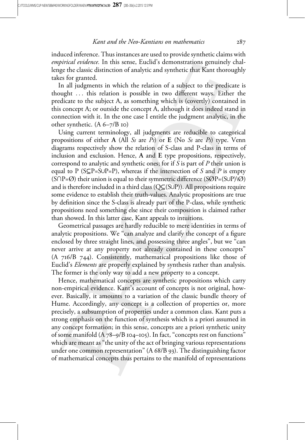induced inference. Thus instances are used to provide synthetic claims with empirical evidence. In this sense, Euclid's demonstrations genuinely challenge the classic distinction of analytic and synthetic that Kant thoroughly takes for granted.

In all judgments in which the relation of a subject to the predicate is thought ... this relation is possible in two different ways. Either the predicate to the subject A, as something which is (covertly) contained in this concept A; or outside the concept A, although it does indeed stand in connection with it. In the one case I entitle the judgment analytic, in the other synthetic. (A 6–7/B 10)

Using current terminology, all judgments are reducible to categorical propositions of either A (All Ss are Ps) or E (No Ss are Ps) type. Venn diagrams respectively show the relation of S-class and P-class in terms of inclusion and exclusion. Hence, A and E type propositions, respectively, correspond to analytic and synthetic ones; for if S is part of P their union is equal to P (S $\subseteq$ P=S∪P=P), whereas if the intersection of S and P is empty  $(S \cap P = \emptyset)$  their union is equal to their symmetric difference  $(S \emptyset P = (S \cup P) \setminus \emptyset)$ and is therefore included in a third class (Q⊆(S∪P)). All propositions require some evidence to establish their truth-values. Analytic propositions are true by definition since the S-class is already part of the P-class, while synthetic propositions need something else since their composition is claimed rather than showed. In this latter case, Kant appeals to intuitions.

Geometrical passages are hardly reducible to mere identities in terms of analytic propositions. We "can analyze and clarify the concept of a figure enclosed by three straight lines, and possessing three angles", but we "can never arrive at any property not already contained in these concepts" (A 716/B 744). Consistently, mathematical propositions like those of Euclid's Elements are properly explained by synthesis rather than analysis. The former is the only way to add a new property to a concept.

Hence, mathematical concepts are synthetic propositions which carry non-empirical evidence. Kant's account of concepts is not original, however. Basically, it amounts to a variation of the classic bundle theory of Hume. Accordingly, any concept is a collection of properties or, more precisely, a subsumption of properties under a common class. Kant puts a strong emphasis on the function of synthesis which is a priori assumed in any concept formation; in this sense, concepts are a priori synthetic unity of some manifold (A 78–9/B 104–105). In fact, "concepts rest on functions" which are meant as "the unity of the act of bringing various representations under one common representation" (A 68/B 93). The distinguishing factor of mathematical concepts thus pertains to the manifold of representations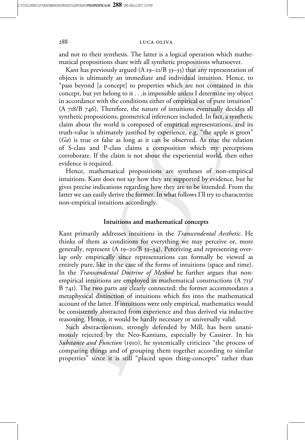and not to their synthesis. The latter is a logical operation which mathematical propositions share with all synthetic propositions whatsoever.

Kant has previously argued  $(A_19-21/B_33-35)$  that any representation of objects is ultimately an immediate and individual intuition. Hence, to "pass beyond [a concept] to properties which are not contained in this concept, but yet belong to it ...is impossible unless I determine my object in accordance with the conditions either of empirical or of pure intuition" (A 718/B 746). Therefore, the nature of intuitions eventually decides all synthetic propositions, geometrical inferences included. In fact, a synthetic claim about the world is composed of empirical representations, and its truth-value is ultimately justified by experience, e.g. "the apple is green" (Ga) is true or false as long as it can be observed. As true the relation of S-class and P-class claims a composition which my perceptions corroborate. If the claim is not about the experiential world, then other evidence is required.

Hence, mathematical propositions are syntheses of non-empirical intuitions. Kant does not say how they are supported by evidence, but he gives precise indications regarding how they are to be intended. From the latter we can easily derive the former. In what follows I'll try to characterize non-empirical intuitions accordingly.

### Intuitions and mathematical concepts

Kant primarily addresses intuitions in the *Transcendental Aesthetic*. He thinks of them as conditions for everything we may perceive or, more generally, represent (A 19–20/B 33–34). Perceiving and representing overlap only empirically since representations can formally be viewed as entirely pure, like in the case of the forms of intuitions (space and time). In the *Transcendental Doctrine of Method* he further argues that nonempirical intuitions are employed in mathematical constructions (A 713/ B 741). The two parts are clearly connected: the former accommodates a metaphysical distinction of intuitions which fits into the mathematical account of the latter. If intuitions were only empirical, mathematics would be consistently abstracted from experience and thus derived via inductive reasoning. Hence, it would be hardly necessary or universally valid.

Such abstractionism, strongly defended by Mill, has been unanimously rejected by the Neo-Kantians, especially by Cassirer. In his Substance and Function (1910), he systemically criticizes "the process of comparing things and of grouping them together according to similar properties" since it is still "placed upon thing-concepts" rather than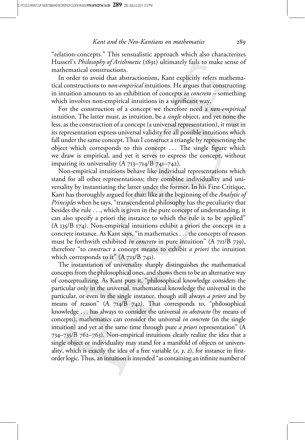"relation-concepts." This sensualistic approach which also characterizes Husserl's Philosophy of Arithmetic (1891) ultimately fails to make sense of mathematical constructions.

In order to avoid that abstractionism, Kant explicitly refers mathematical constructions to *non-empirical* intuitions. He argues that constructing in intuition amounts to an exhibition of concepts in concreto – something which involves non-empirical intuitions in a significant way.

For the construction of a concept we therefore need a *non-empirical* intuition. The latter must, as intuition, be a *single* object, and yet none the less, as the construction of a concept (a universal representation), it must in its representation express universal validity for all possible intuitions which fall under the same concept. Thus I construct a triangle by representing the object which corresponds to this concept ... The single figure which we draw is empirical, and yet it serves to express the concept, without impairing its universality  $(A \, 713 - 714/B \, 741 - 742)$ .

Non-empirical intuitions behave like individual representations which stand for all other representations; they combine individuality and universality by instantiating the latter under the former. In his First Critique, Kant has thoroughly argued for that; like at the beginning of the Analytic of Principles when he says, "transcendental philosophy has the peculiarity that besides the rule ..., which is given in the pure concept of understanding, it can also specify a priori the instance to which the rule is to be applied" (A 135/B 174). Non-empirical intuitions exhibit a priori the concept in a concrete instance. As Kant says, "in mathematics ... the concepts of reason must be forthwith exhibited *in concreto* in pure intuition" (A 711/B 739), therefore "to *construct* a concept means to exhibit *a priori* the intuition which corresponds to it"  $(A \, 713/B \, 741)$ .

The instantiation of universality sharply distinguishes the mathematical concepts from the philosophical ones, and shows them to be an alternative way of conceptualizing. As Kant puts it, "philosophical knowledge considers the particular only in the universal, mathematical knowledge the universal in the particular, or even in the single instance, though still always a priori and by means of reason" (A 714/B 742). That corresponds to, "philosophical knowledge ... has always to consider the universal in abstracto (by means of concepts), mathematics can consider the universal in concreto (in the single intuition) and yet at the same time through pure *a priori* representation" (A 734–735/B 762–763). Non-empirical intuitions clearly realize the idea that a single object or individuality may stand for a manifold of objects or universality, which is exactly the idea of a free variable  $(x, y, z)$ , for instance in firstorder logic. Thus, an intuition is intended "as containing an infinite number of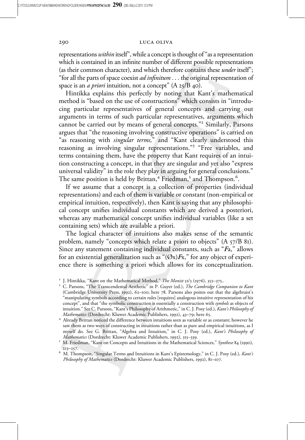representations within itself", while a concept is thought of "as a representation which is contained in an infinite number of different possible representations (as their common character), and which therefore contains these under itself"; "for all the parts of space coexist *ad infinitum*  $\ldots$  the original representation of space is an *a priori* intuition, not a concept"  $(A \, 25/B \, 40)$ .

Hintikka explains this perfectly by noting that Kant's mathematical method is "based on the use of constructions" which consists in "introducing particular representatives of general concepts and carrying out arguments in terms of such particular representatives, arguments which cannot be carried out by means of general concepts." <sup>2</sup> Similarly, Parsons argues that "the reasoning involving constructive operations" is carried on "as reasoning with *singular terms*," and "Kant clearly understood this reasoning as involving singular representations." <sup>3</sup> "Free variables, and terms containing them, have the property that Kant requires of an intuition constructing a concept, in that they are singular and yet also "express universal validity" in the role they play in arguing for general conclusions." The same position is held by Brittan,<sup>4</sup> Friedman,<sup>5</sup> and Thompson.<sup>6</sup>.

If we assume that a concept is a collection of properties (individual representations) and each of them is variable or constant (non-empirical or empirical intuition, respectively), then Kant is saying that any philosophical concept unifies individual constants which are derived a posteriori, whereas any mathematical concept unifies individual variables (like a set containing sets) which are available a priori.

The logical character of intuitions also makes sense of the semantic problem, namely "concepts which relate a priori to objects" (A 57/B 81). Since any statement containing individual constants, such as " $Fa$ ," allows for an existential generalization such as " $(\mathcal{O}_X)F_X$ ," for any object of experience there is something a priori which allows for its conceptualization.

<sup>&</sup>lt;sup>2</sup> J. Hintikka, "Kant on the Mathematical Method," *The Monist* 51/3 (1976), 352–375.. <sup>3</sup> C. Parsons, "The Transcendental Aesthetic" in P. Guyer (ed.), *The Cambridge Companion to Kant* (Cambridge University Press, 1992), 62–100; here 78. Parsons also points out that the algebraist's "manipulating symbols according to certain rules [requires] analogous intuitive representation of his concept", and that "the symbolic construction is essentially a construction with symbols as objects of intuition." See C. Parsons, "Kant's Philosophy of Arithmetic," in C. J. Posy (ed.), Kant's Philosophy of Mathematics (Dordrecht: Kluwer Academic Publishers, 1992), 43-79; here 65.

<sup>&</sup>lt;sup>4</sup> Already Brittan noticed the difference between intuitions seen as variable or as constant; however he saw them as two ways of constructing in intuitions rather than as pure and empirical intuitions, as I myself do. See G. Brittan, "Algebra and Intuition," in C. J. Posy (ed.), Kant's Philosophy of *Mathematics* (Dordrecht: Kluwer Academic Publishers, 1992), 315–339.<br><sup>5</sup> M. Friedman, "Kant on Concepts and Intuitions in the Mathematical Sciences," Synthese 84 (1990),

 $^6\,$  M. Thompson, "Singular Terms and Intuitions in Kant's Epistemology," in C. J. Posy (ed.), *Kant's* Philosophy of Mathematics (Dordrecht: Kluwer Academic Publishers, 1992), 81-107.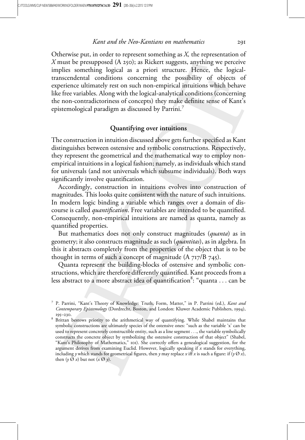Otherwise put, in order to represent something as X, the representation of X must be presupposed (A 250); as Rickert suggests, anything we perceive implies something logical as a priori structure. Hence, the logicaltranscendental conditions concerning the possibility of objects of experience ultimately rest on such non-empirical intuitions which behave like free variables. Along with the logical-analytical conditions (concerning the non-contradictoriness of concepts) they make definite sense of Kant's epistemological paradigm as discussed by Parrini.<sup>7</sup>

# Quantifying over intuitions

The construction in intuition discussed above gets further specified as Kant distinguishes between ostensive and symbolic constructions. Respectively, they represent the geometrical and the mathematical way to employ nonempirical intuitions in a logical fashion; namely, as individuals which stand for universals (and not universals which subsume individuals). Both ways significantly involve quantification.

Accordingly, construction in intuitions evolves into construction of magnitudes. This looks quite consistent with the nature of such intuitions. In modern logic binding a variable which ranges over a domain of discourse is called quantification. Free variables are intended to be quantified. Consequently, non-empirical intuitions are named as quanta, namely as quantified properties.

But mathematics does not only construct magnitudes (*quanta*) as in geometry; it also constructs magnitude as such (quantitas), as in algebra. In this it abstracts completely from the properties of the object that is to be thought in terms of such a concept of magnitude (A 717/B 745).

Quanta represent the building-blocks of ostensive and symbolic constructions, which are therefore differently quantified. Kant proceeds from a less abstract to a more abstract idea of quantification<sup>8</sup>: "quanta ... can be

<sup>7</sup> P. Parrini, "Kant's Theory of Knowledge: Truth, Form, Matter," in P. Parrini (ed.), Kant and Contemporary Epistemology (Dordrecht, Boston, and London: Kluwer Academic Publishers, 1994),

<sup>195</sup>–230. <sup>8</sup> Brittan bestows priority to the arithmetical way of quantifying. While Shabel maintains that symbolic constructions are ultimately species of the ostensive ones: "such as the variable 'x' can be used to represent concretely constructible entity, such as a line segment ..., the variable symbolically constructs the concrete object by symbolizing the ostensive construction of that object" (Shabel, "Kant's Philosophy of Mathematics," 101). She correctly offers a genealogical suggestion, for the argument derives from examining Euclid. However, logically speaking if  $x$  stands for everything, including y which stands for geometrical figures, then y may replace x iff x is such a figure: if  $(y \oslash x)$ , then  $(y \oslash x)$  but not  $(x \oslash y)$ .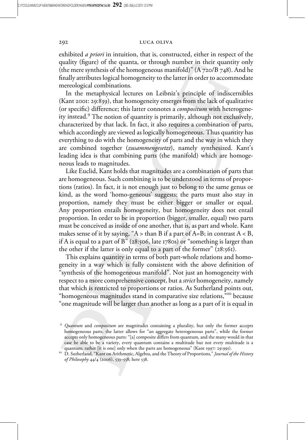exhibited *a priori* in intuition, that is, constructed, either in respect of the quality (figure) of the quanta, or through number in their quantity only (the mere synthesis of the homogeneous manifold)" (A 720/B 748). And he finally attributes logical homogeneity to the latter in order to accommodate mereological combinations.

In the metaphysical lectures on Leibniz's principle of indiscernibles (Kant 2001: 29:839), that homogeneity emerges from the lack of qualitative (or specific) difference; this latter connotes a compositum with heterogeneity instead.<sup>9</sup> The notion of quantity is primarily, although not exclusively, characterized by that lack. In fact, it also requires a combination of parts, which accordingly are viewed as logically homogeneous. Thus quantity has everything to do with the homogeneity of parts and the way in which they are combined together (zusammengesetzt), namely synthesized. Kant's leading idea is that combining parts (the manifold) which are homogeneous leads to magnitudes.

Like Euclid, Kant holds that magnitudes are a combination of parts that are homogeneous. Such combining is to be understood in terms of proportions (ratios). In fact, it is not enough just to belong to the same genus or kind, as the word 'homo-geneous' suggests; the parts must also stay in proportion, namely they must be either bigger or smaller or equal. Any proportion entails homogeneity, but homogeneity does not entail proportion. In order to be in proportion (bigger, smaller, equal) two parts must be conceived as inside of one another, that is, as part and whole. Kant makes sense of it by saying, "A > than B if a part of A=B; in contrast  $A < B$ , if A is equal to a part of B" ( $28:506$ , late 1780s) or "something is larger than the other if the latter is only equal to a part of the former"  $(28:561)$ .

This explains quantity in terms of both part-whole relations and homogeneity in a way which is fully consistent with the above definition of "synthesis of the homogeneous manifold". Not just an homogeneity with respect to a more comprehensive concept, but a *strict* homogeneity, namely that which is restricted to proportions or ratios. As Sutherland points out, "homogeneous magnitudes stand in comparative size relations," <sup>10</sup> because "one magnitude will be larger than another as long as a part of it is equal in

<sup>&</sup>lt;sup>9</sup> Quantum and compositum are magnitudes containing a plurality, but only the former accepts homogeneous parts. the latter allows for "an aggregate heterogeneous parts", while the former accepts only homogeneous parts: "[a] composite differs from quantum, and the many would in that case be able to be a variety, every quantum contains a multitude but not every multitude is a quantum; rather [it is one] only when the parts are homogeneous" (Kant 1997: 29:991).

<sup>&</sup>lt;sup>10</sup> D. Sutherland, "Kant on Arithmetic, Algebra, and the Theory of Proportions," Journal of the History of Philosophy 44/4 (2006), 533–558; here 538.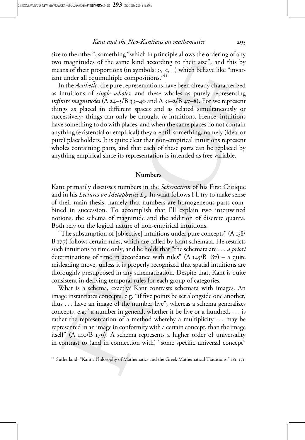size to the other"; something "which in principle allows the ordering of any two magnitudes of the same kind according to their size", and this by means of their proportions (in symbols:  $>$ ,  $<$ ,  $=$ ) which behave like "invariant under all equimultiple compositions."<sup>11</sup>

In the Aesthetic, the pure representations have been already characterized as intuitions of single wholes, and these wholes as purely representing *infinite magnitudes* (A  $24-5/B$  39–40 and A 3I–2/B 47–8). For we represent things as placed in different spaces and as related simultaneously or successively; things can only be thought *in* intuitions. Hence, intuitions have something to do with places, and when the same places do not contain anything (existential or empirical) they are still something, namely (ideal or pure) placeholders. It is quite clear that non-empirical intuitions represent wholes containing parts, and that each of these parts can be replaced by anything empirical since its representation is intended as free variable.

#### Numbers

Kant primarily discusses numbers in the Schematism of his First Critique and in his Lectures on Metaphysics  $L_2$ . In what follows I'll try to make sense of their main thesis, namely that numbers are homogeneous parts combined in succession. To accomplish that I'll explain two intertwined notions, the schema of magnitude and the addition of discrete quanta. Both rely on the logical nature of non-empirical intuitions.

"The subsumption of [objective] intuitions under pure concepts" (A 138/ B 177) follows certain rules, which are called by Kant schemata. He restricts such intuitions to time only, and he holds that "the schemata are  $\dots$  *a priori* determinations of time in accordance with rules"  $(A_145/B_187)$  – a quite misleading move, unless it is properly recognized that spatial intuitions are thoroughly presupposed in any schematization. Despite that, Kant is quite consistent in deriving temporal rules for each group of categories.

What is a schema, exactly? Kant contrasts schemata with images. An image instantiates concepts, e.g. "if five points be set alongside one another, thus ... have an image of the number five"; whereas a schema generalizes concepts, e.g. "a number in general, whether it be five or a hundred, ... is rather the representation of a method whereby a multiplicity ... may be represented in an image in conformity with a certain concept, than the image itself" (A 140/B 179). A schema represents a higher order of universality in contrast to (and in connection with) "some specific universal concept"

<sup>&</sup>lt;sup>11</sup> Sutherland, "Kant's Philosophy of Mathematics and the Greek Mathematical Traditions," 181, 171.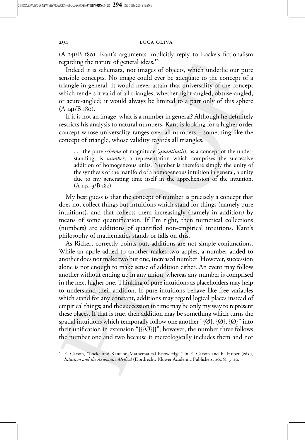(A 141/B 180). Kant's arguments implicitly reply to Locke's fictionalism regarding the nature of general ideas.<sup>12</sup>

Indeed it is schemata, not images of objects, which underlie our pure sensible concepts. No image could ever be adequate to the concept of a triangle in general. It would never attain that universality of the concept which renders it valid of all triangles, whether right-angled, obtuse-angled, or acute-angled; it would always be limited to a part only of this sphere (A 141/B 180).

If it is not an image, what is a number in general? Although he definitely restricts his analysis to natural numbers, Kant is looking for a higher order concept whose universality ranges over all numbers – something like the concept of triangle, whose validity regards all triangles.

... the pure *schema* of magnitude (*quantitatis*), as a concept of the understanding, is *number*, a representation which comprises the successive addition of homogeneous units. Number is therefore simply the unity of the synthesis of the manifold of a homogeneous intuition in general, a unity due to my generating time itself in the apprehension of the intuition. (A 142–3/B 182)

My best guess is that the concept of number is precisely a concept that does not collect things but intuitions which stand for things (namely pure intuitions), and that collects them increasingly (namely in addition) by means of some quantification. If I'm right, then numerical collections (numbers) are additions of quantified non-empirical intuitions. Kant's philosophy of mathematics stands or falls on this.

As Rickert correctly points out, additions are not simple conjunctions. While an apple added to another makes two apples, a number added to another does not make two but one, increased number. However, succession alone is not enough to make sense of addition either. An event may follow another without ending up in any union, whereas any number is comprised in the next higher one. Thinking of pure intuitions as placeholders may help to understand their addition. If pure intuitions behave like free variables which stand for any constant, additions may regard logical places instead of empirical things; and the succession in time may be only my way to represent these places. If that is true, then addition may be something which turns the spatial intuitions which temporally follow one another " $\{\emptyset\}$ ,  $\{\emptyset\}$ ,  $\{\emptyset\}$ " into their unification in extension " ${({\{\mathcal{O}\}}\}'$ "; however, the number three follows the number one and two because it mereologically includes them and not

<sup>&</sup>lt;sup>12</sup> E. Carson, "Locke and Kant on Mathematical Knowledge," in E. Carson and R. Huber (eds.), Intuition and the Axiomatic Method (Dordrecht: Kluwer Academic Publishers, 2006), 3–20.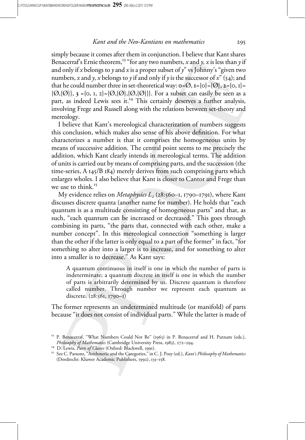simply because it comes after them in conjunction. I believe that Kant shares Benacerraf's Ernie theorem,<sup>13</sup> "for any two numbers, x and y, x is less than y if and only if x belongs to y and x is a proper subset of y" vs Johnny's "given two numbers, x and y, x belongs to y if and only if y is the successor of x" (54); and that he could number three in set-theoretical way:  $\sigma = \emptyset$ ,  $\tau = \{\circ\} = \{\emptyset\}$ ,  $\tau = \{\circ, \tau\} = \{\circ, \tau\}$  $\{\emptyset,\{\emptyset\}\}\$ , 3 = {0, 1, 2}= $\{\emptyset,\{\emptyset\},\{\emptyset,\{\emptyset\}\}\}\$ . For a subset can easily be seen as a part, as indeed Lewis sees it.<sup>14</sup> This certainly deserves a further analysis, involving Frege and Russell along with the relations between set-theory and mereology.

I believe that Kant's mereological characterization of numbers suggests this conclusion, which makes also sense of his above definition. For what characterizes a number is that it comprises the homogeneous units by means of successive addition. The central point seems to me precisely the addition, which Kant clearly intends in mereological terms. The addition of units is carried out by means of comprising parts, and the succession (the time-series, A 145/B 184) merely derives from such comprising parts which enlarges wholes. I also believe that Kant is closer to Cantor and Frege than we use to think.<sup>15</sup>

My evidence relies on *Metaphysics L*<sub>2</sub> (28:560–1, 1790–1791), where Kant discusses discrete quanta (another name for number). He holds that "each quantum is as a multitude consisting of homogeneous parts" and that, as such, "each quantum can be increased or decreased." This goes through combining its parts, "the parts that, connected with each other, make a number concept". In this mereological connection "something is larger than the other if the latter is only equal to a part of the former" in fact, "for something to alter into a larger is to increase, and for something to alter into a smaller is to decrease." As Kant says:

A quantum continuous in itself is one in which the number of parts is indeterminate; a quantum discrete in itself is one in which the number of parts is arbitrarily determined by us. Discrete quantum is therefore called number. Through number we represent each quantum as discrete. (28:561, 1790–1)

The former represents an undetermined multitude (or manifold) of parts because "it does not consist of individual parts." While the latter is made of

<sup>&</sup>lt;sup>13</sup> P. Benacerraf, "What Numbers Could Not Be" (1965) in P. Benacerraf and H. Putnam (eds.), Philosophy of Mathematics (Cambridge University Press, 1983), 272–294.<br><sup>14</sup> D. Lewis, *Parts of Classes* (Oxford: Blackwell, 1991).<br><sup>15</sup> See C. Parsons, "Arithmetic and the Categories," in C. J. Posy (ed.), *Kant's Philoso* 

<sup>(</sup>Dordrecht: Kluwer Academic Publishers, 1992), 135–158.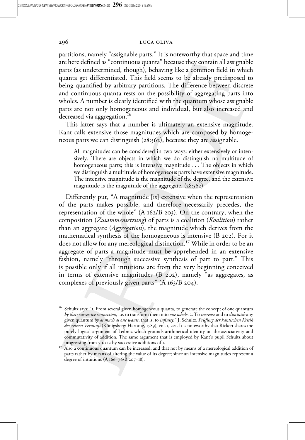partitions, namely "assignable parts." It is noteworthy that space and time are here defined as "continuous quanta" because they contain all assignable parts (as undetermined, though), behaving like a common field in which quanta get differentiated. This field seems to be already predisposed to being quantified by arbitrary partitions. The difference between discrete and continuous quanta rests on the possibility of aggregating parts into wholes. A number is clearly identified with the quantum whose assignable parts are not only homogeneous and individual, but also increased and decreased via aggregation.<sup>16</sup>

This latter says that a number is ultimately an extensive magnitude. Kant calls extensive those magnitudes which are composed by homogeneous parts we can distinguish (28:562), because they are assignable.

All magnitudes can be considered in two ways: either extensively or intensively. There are objects in which we do distinguish no multitude of homogeneous parts; this is intensive magnitude ... The objects in which we distinguish a multitude of homogeneous parts have extensive magnitude. The intensive magnitude is the magnitude of the degree, and the extensive magnitude is the magnitude of the aggregate.  $(28:562)$ 

Differently put, "A magnitude [is] extensive when the representation of the parts makes possible, and therefore necessarily precedes, the representation of the whole" (A 162/B 203). On the contrary, when the composition (Zusammensetzung) of parts is a coalition (Koalition) rather than an aggregate (Aggregation), the magnitude which derives from the mathematical synthesis of the homogeneous is intensive (B 202). For it does not allow for any mereological distinction.<sup>17</sup> While in order to be an aggregate of parts a magnitude must be apprehended in an extensive fashion, namely "through successive synthesis of part to part." This is possible only if all intuitions are from the very beginning conceived in terms of extensive magnitudes (B 202), namely "as aggregates, as complexes of previously given parts" (A 163/B 204).

<sup>&</sup>lt;sup>16</sup> Schultz says: "I. From several given homogeneous quanta, to generate the concept of one quantum by their successive connection, i.e. to transform them into one whole. 2. To increase and to diminish any given quantum by as much as one wants, that is, to infinity." J. Schultz, Prüfung der kantischen Kritik der reinen Vernunft (Königsberg: Hartung, 1789), vol. i, 221. It is noteworthy that Rickert shares the purely logical argument of Leibniz which grounds arithmetical identity on the associativity and commutativity of addition. The same argument that is employed by Kant's pupil Schultz about progressing from  $7$  to 12 by successive additions of 1.

 $\frac{17}{12}$  Also a continuous quantum can be increased, and that not by means of a mereological addition of parts rather by means of altering the value of its degree; since an intensive magnitudes represent a degree of intuitions (A 166–76/B 207–18).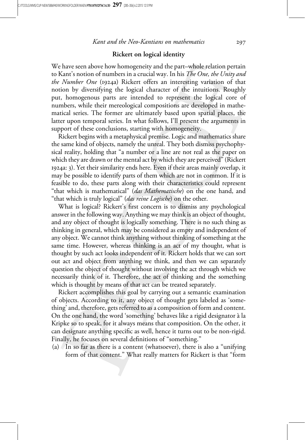# Rickert on logical identity

We have seen above how homogeneity and the part–whole relation pertain to Kant's notion of numbers in a crucial way. In his The One, the Unity and the Number One (1924a) Rickert offers an interesting variation of that notion by diversifying the logical character of the intuitions. Roughly put, homogenous parts are intended to represent the logical core of numbers, while their mereological compositions are developed in mathematical series. The former are ultimately based upon spatial places, the latter upon temporal series. In what follows, I'll present the arguments in support of these conclusions, starting with homogeneity.

Rickert begins with a metaphysical premise. Logic and mathematics share the same kind of objects, namely the unreal. They both dismiss psychophysical reality, holding that "a number or a line are not real as the paper on which they are drawn or the mental act by which they are perceived" (Rickert 1924a: 3). Yet their similarity ends here. Even if their areas mainly overlap, it may be possible to identify parts of them which are not in common. If it is feasible to do, these parts along with their characteristics could represent "that which is mathematical" (das Mathematische) on the one hand, and "that which is truly logical" (*das reine Logische*) on the other.

What is logical? Rickert's first concern is to dismiss any psychological answer in the following way. Anything we may think is an object of thought, and any object of thought is logically something. There is no such thing as thinking in general, which may be considered as empty and independent of any object. We cannot think anything without thinking of something at the same time. However, whereas thinking is an act of my thought, what is thought by such act looks independent of it. Rickert holds that we can sort out act and object from anything we think, and then we can separately question the object of thought without involving the act through which we necessarily think of it. Therefore, the act of thinking and the something which is thought by means of that act can be treated separately.

Rickert accomplishes this goal by carrying out a semantic examination of objects. According to it, any object of thought gets labeled as 'something' and, therefore, gets referred to as a composition of form and content. On the one hand, the word 'something' behaves like a rigid designator à la Kripke so to speak, for it always means that composition. On the other, it can designate anything specific as well, hence it turns out to be non-rigid. Finally, he focuses on several definitions of "something."

(a) In so far as there is a content (whatsoever), there is also a "unifying form of that content." What really matters for Rickert is that "form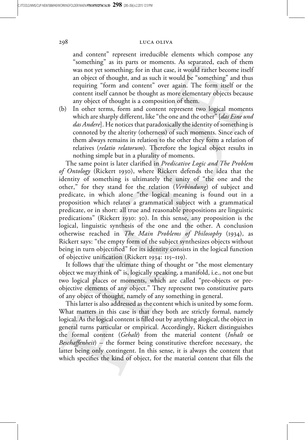#### 298 luca oliva

and content" represent irreducible elements which compose any "something" as its parts or moments. As separated, each of them was not yet something; for in that case, it would rather become itself an object of thought, and as such it would be "something" and thus requiring "form and content" over again. The form itself or the content itself cannot be thought as more elementary objects because any object of thought is a composition of them.

(b) In other terms, form and content represent two logical moments which are sharply different, like "the one and the other" [das Eine und das Andere]. He notices that paradoxically the identity of something is connoted by the alterity (otherness) of such moments. Since each of them always remains in relation to the other they form a relation of relatives (*relatio relatorum*). Therefore the logical object results in nothing simple but in a plurality of moments.

The same point is later clarified in Predicative Logic and The Problem of Ontology (Rickert 1930), where Rickert defends the idea that the identity of something is ultimately the unity of "the one and the other," for they stand for the relation (Verbindung) of subject and predicate, in which alone "the logical meaning is found out in a proposition which relates a grammatical subject with a grammatical predicate, or in short: all true and reasonable propositions are linguistic predications" (Rickert 1930: 30). In this sense, any proposition is the logical, linguistic synthesis of the one and the other. A conclusion otherwise reached in The Main Problems of Philosophy (1934), as Rickert says: "the empty form of the subject synthesizes objects without being in turn objectified" for its identity consists in the logical function of objective unification (Rickert 1934: 115–119).

It follows that the ultimate thing of thought or "the most elementary object we may think of" is, logically speaking, a manifold, i.e., not one but two logical places or moments, which are called "pre-objects or preobjective elements of any object." They represent two constitutive parts of any object of thought, namely of any something in general.

This latter is also addressed as the content which is united by some form. What matters in this case is that they both are strictly formal, namely logical. As the logical content is filled out by anything alogical, the object in general turns particular or empirical. Accordingly, Rickert distinguishes the formal content (Gehalt) from the material content (Inhalt or *Beschaffenheit*) – the former being constitutive therefore necessary, the latter being only contingent. In this sense, it is always the content that which specifies the kind of object, for the material content that fills the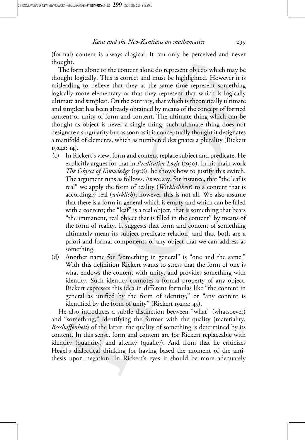(formal) content is always alogical. It can only be perceived and never thought.

The form alone or the content alone do represent objects which may be thought logically. This is correct and must be highlighted. However it is misleading to believe that they at the same time represent something logically more elementary or that they represent that which is logically ultimate and simplest. On the contrary, that which is theoretically ultimate and simplest has been already obtained by means of the concept of formed content or unity of form and content. The ultimate thing which can be thought as object is never a single thing; such ultimate thing does not designate a singularity but as soon as it is conceptually thought it designates a manifold of elements, which as numbered designates a plurality (Rickert 1924a: 14).

- (c) In Rickert's view, form and content replace subject and predicate. He explicitly argues for that in *Predicative Logic* (1930). In his main work The Object of Knowledge (1928), he shows how to justify this switch. The argument runs as follows. As we say, for instance, that "the leaf is real" we apply the form of reality (*Wirklichkeit*) to a content that is accordingly real (*wirklich*); however this is not all. We also assume that there is a form in general which is empty and which can be filled with a content; the "leaf" is a real object, that is something that bears "the immanent, real object that is filled in the content" by means of the form of reality. It suggests that form and content of something ultimately mean its subject-predicate relation, and that both are a priori and formal components of any object that we can address as something.
- (d) Another name for "something in general" is "one and the same." With this definition Rickert wants to stress that the form of one is what endows the content with unity, and provides something with identity. Such identity connotes a formal property of any object. Rickert expresses this idea in different formulas like "the content in general as unified by the form of identity," or "any content is identified by the form of unity" (Rickert 1924a: 45).

He also introduces a subtle distinction between "what" (whatsoever) and "something," identifying the former with the quality (materiality, Beschaffenheit) of the latter; the quality of something is determined by its content. In this sense, form and content are for Rickert replaceable with identity (quantity) and alterity (quality). And from that he criticizes Hegel's dialectical thinking for having based the moment of the antithesis upon negation. In Rickert's eyes it should be more adequately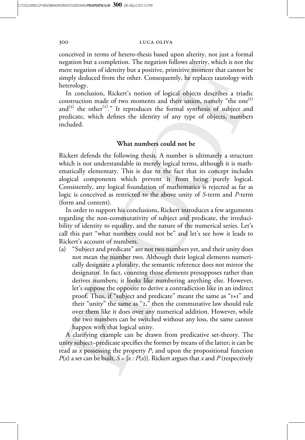conceived in terms of hetero-thesis based upon alterity, not just a formal negation but a completion. The negation follows alterity, which is not the mere negation of identity but a positive, primitive moment that cannot be simply deduced from the other. Consequently, he replaces tautology with heterology.

In conclusion, Rickert's notion of logical objects describes a triadic construction made of two moments and their union, namely "the one<sup> $(i)$ </sup> and<sup>(3)</sup> the other<sup>(2)</sup>." It reproduces the formal synthesis of subject and predicate, which defines the identity of any type of objects, numbers included.

# What numbers could not be

Rickert defends the following thesis. A number is ultimately a structure which is not understandable in merely logical terms, although it is mathematically elementary. This is due to the fact that its concept includes alogical components which prevent it from being purely logical. Consistently, any logical foundation of mathematics is rejected as far as logic is conceived as restricted to the above unity of S-term and P-term (form and content).

In order to support his conclusions, Rickert introduces a few arguments regarding the non-commutativity of subject and predicate, the irreducibility of identity to equality, and the nature of the numerical series. Let's call this part "what numbers could not be" and let's see how it leads to Rickert's account of numbers.

(a) "Subject and predicate" are not two numbers yet, and their unity does not mean the number two. Although their logical elements numerically designate a plurality, the semantic reference does not mirror the designator. In fact, counting those elements presupposes rather than derives numbers; it looks like numbering anything else. However, let's suppose the opposite to derive a contradiction like in an indirect proof. Thus, if "subject and predicate" meant the same as "1+1" and their "unity" the same as "2," then the commutative law should rule over them like it does over any numerical addition. However, while the two numbers can be switched without any loss, the same cannot happen with that logical unity.

A clarifying example can be drawn from predicative set-theory. The unity subject–predicate specifies the former by means of the latter; it can be read as x possessing the property  $P$ , and upon the propositional function  $P(x)$  a set can be built,  $S = \{x : P(x)\}\$ . Rickert argues that x and P (respectively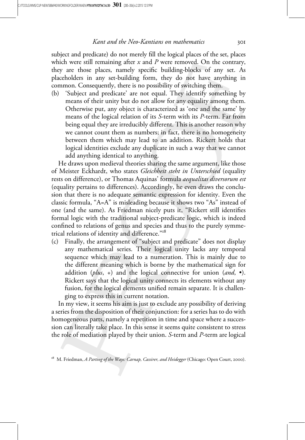subject and predicate) do not merely fill the logical places of the set, places which were still remaining after  $x$  and  $P$  were removed. On the contrary, they are those places, namely specific building-blocks of any set. As placeholders in any set-building form, they do not have anything in common. Consequently, there is no possibility of switching them.

(b) 'Subject and predicate' are not equal. They identify something by means of their unity but do not allow for any equality among them. Otherwise put, any object is characterized as 'one and the same' by means of the logical relation of its S-term with its P-term. Far from being equal they are irreducibly different. This is another reason why we cannot count them as numbers; in fact, there is no homogeneity between them which may lead to an addition. Rickert holds that logical identities exclude any duplicate in such a way that we cannot add anything identical to anything.

He draws upon medieval theories sharing the same argument, like those of Meister Eckhardt, who states Gleichheit steht in Unterschied (equality rests on difference), or Thomas Aquinas' formula *aequalitas diversorum est* (equality pertains to differences). Accordingly, he even draws the conclusion that there is no adequate semantic expression for identity. Even the classic formula, "A=A" is misleading because it shows two "As" instead of one (and the same). As Friedman nicely puts it, "Rickert still identifies formal logic with the traditional subject-predicate logic, which is indeed confined to relations of genus and species and thus to the purely symmetrical relations of identity and difference." 18

(c) Finally, the arrangement of "subject and predicate" does not display any mathematical series. Their logical unity lacks any temporal sequence which may lead to a numeration. This is mainly due to the different meaning which is borne by the mathematical sign for addition (*plus*, +) and the logical connective for union (*and*,  $\bullet$ ). Rickert says that the logical unity connects its elements without any fusion, for the logical elements unified remain separate. It is challenging to express this in current notation.

In my view, it seems his aim is just to exclude any possibility of deriving a series from the disposition of their conjunction: for a series has to do with homogeneous parts, namely a repetition in time and space where a succession can literally take place. In this sense it seems quite consistent to stress the role of mediation played by their union. S-term and P-term are logical

<sup>&</sup>lt;sup>18</sup> M. Friedman, A Parting of the Ways: Carnap, Cassirer, and Heidegger (Chicago: Open Court, 2000).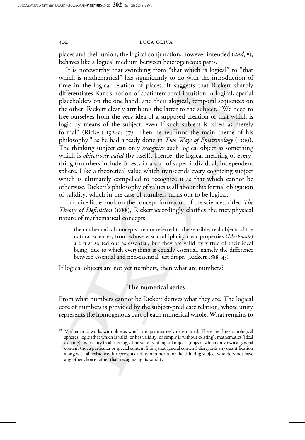#### 302 luca oliva

places and their union, the logical conjunction, however intended  $(and, \bullet)$ , behaves like a logical medium between heterogeneous parts.

It is noteworthy that switching from "that which is logical" to "that which is mathematical" has significantly to do with the introduction of time in the logical relation of places. It suggests that Rickert sharply differentiates Kant's notion of spatiotemporal intuition in logical, spatial placeholders on the one hand, and their alogical, temporal sequences on the other. Rickert clearly attributes the latter to the subject, "We need to free ourselves from the very idea of a supposed creation of that which is logic by means of the subject, even if such subject is taken as merely formal" (Rickert 1924a: 57). Then he reaffirms the main theme of his philosophy<sup>19</sup> as he had already done in Two Ways of Epistemology (1909). The thinking subject can only *recognize* such logical object as something which is *objectively valid* (by itself). Hence, the logical meaning of everything (numbers included) rests in a sort of super-individual, independent sphere. Like a theoretical value which transcends every cognizing subject which is ultimately compelled to recognize it as that which cannot be otherwise. Rickert's philosophy of values is all about this formal obligation of validity, which in the case of numbers turns out to be logical.

In a nice little book on the concept-formation of the sciences, titled The Theory of Definition (1888), Rickertaccordingly clarifies the metaphysical nature of mathematical concepts:

the mathematical concepts are not referred to the sensible, real objects of the natural sciences, from whose vast multiplicity clear properties (Merkmale) are first sorted out as essential; but they are valid by virtue of their ideal being, due to which everything is equally essential, namely the difference between essential and non-essential just drops. (Rickert 1888: 43)

If logical objects are not yet numbers, then what are numbers?

# The numerical series

From what numbers cannot be Rickert derives what they are. The logical core of numbers is provided by the subject-predicate relation, whose unity represents the homogenous part of each numerical whole. What remains to

<sup>&</sup>lt;sup>19</sup> Mathematics works with objects which are quantitatively determined. There are three ontological spheres: logic (that which is valid, or has validity, or simply is without existing), mathematics (ideal existing) and reality (real existing). The validity of logical objects (objects which only own a general content (not a particular or special content filling that general content) disregards any quantification along with all existence. It represents a duty or a norm for the thinking subject who does not have any other choice rather than recognizing its validity.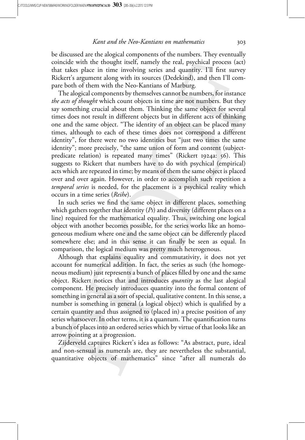be discussed are the alogical components of the numbers. They eventually coincide with the thought itself, namely the real, psychical process (act) that takes place in time involving series and quantity. I'll first survey Rickert's argument along with its sources (Dedekind), and then I'll compare both of them with the Neo-Kantians of Marburg.

The alogical components by themselves cannot be numbers, for instance the acts of thought which count objects in time are not numbers. But they say something crucial about them. Thinking the same object for several times does not result in different objects but in different acts of thinking one and the same object. "The identity of an object can be placed many times, although to each of these times does not correspond a different identity", for there were no two identities but "just two times the same identity"; more precisely, "the same union of form and content (subjectpredicate relation) is repeated many times" (Rickert 1924a: 56). This suggests to Rickert that numbers have to do with psychical (empirical) acts which are repeated in time; by means of them the same object is placed over and over again. However, in order to accomplish such repetition a temporal series is needed, for the placement is a psychical reality which occurs in a time series (Reihe).

In such series we find the same object in different places, something which gathers together that identity  $(P<sub>s</sub>)$  and diversity (different places on a line) required for the mathematical equality. Thus, switching one logical object with another becomes possible, for the series works like an homogeneous medium where one and the same object can be differently placed somewhere else; and in this sense it can finally be seen as equal. In comparison, the logical medium was pretty much heterogenous.

Although that explains equality and commutativity, it does not yet account for numerical addition. In fact, the series as such (the homogeneous medium) just represents a bunch of places filled by one and the same object. Rickert notices that and introduces *quantity* as the last alogical component. He precisely introduces quantity into the formal content of something in general as a sort of special, qualitative content. In this sense, a number is something in general (a logical object) which is qualified by a certain quantity and thus assigned to (placed in) a precise position of any series whatsoever. In other terms, it is a quantum. The quantification turns a bunch of places into an ordered series which by virtue of that looks like an arrow pointing at a progression.

Zijderveld captures Rickert's idea as follows: "As abstract, pure, ideal and non-sensual as numerals are, they are nevertheless the substantial, quantitative objects of mathematics" since "after all numerals do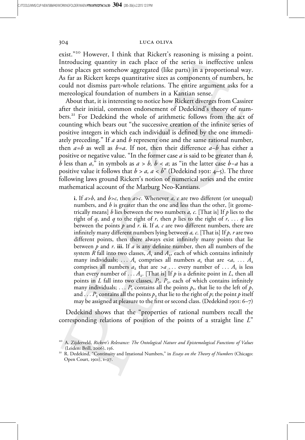#### 304 luca oliva

exist."<sup>20</sup> However, I think that Rickert's reasoning is missing a point. Introducing quantity in each place of the series is ineffective unless those places get somehow aggregated (like parts) in a proportional way. As far as Rickert keeps quantitative sizes as components of numbers, he could not dismiss part-whole relations. The entire argument asks for a mereological foundation of numbers in a Kantian sense.

About that, it is interesting to notice how Rickert diverges from Cassirer after their initial, common endorsement of Dedekind's theory of numbers.<sup>21</sup> For Dedekind the whole of arithmetic follows from the act of counting which bears out "the successive creation of the infinite series of positive integers in which each individual is defined by the one immediately preceding." If  $a$  and  $b$  represent one and the same rational number, then  $a=b$  as well as  $b=a$ . If not, then their difference  $a-b$  has either a positive or negative value. "In the former case  $a$  is said to be greater than  $b$ , b less than a," in symbols as  $a > b$ ,  $b < a$ ; as "in the latter case b–a has a positive value it follows that  $b > a$ ,  $a < b$ " (Dedekind 1901: 4–5). The three following laws ground Rickert's notion of numerical series and the entire mathematical account of the Marburg Neo-Kantians.

i. If  $a > b$ , and  $b > c$ , then  $a > c$ . Whenever a, c are two different (or unequal) numbers, and  $b$  is greater than the one and less than the other, [it geometrically means] b lies between the two numbers a, c. [That is] If  $p$  lies to the right of q, and q to the right of r, then p lies to the right of r, ... q lies between the points  $p$  and  $r$ . ii. If  $q$ ,  $c$  are two different numbers, there are infinitely many different numbers lying between a, c. [That is] If  $p$ , r are two different points, then there always exist infinitely many points that lie between  $p$  and  $r$ . iii. If  $a$  is any definite number, then all numbers of the system  $\overline{R}$  fall into two classes,  $A_1$  and  $A_2$ , each of which contains infinitely many individuals; ...  $A_1$  comprises all numbers  $a_1$  that are  $\langle a_1, \ldots, a_n \rangle$ comprises all numbers  $a_2$  that are  $>a_1 \dots$  every number of  $\dots A_1$  is less than every number of ...  $A_2$ . [That is] If p is a definite point in L, then all points in L fall into two classes,  $P_1$ ,  $P_2$ , each of which contains infinitely many individuals;  $\ldots$   $P_1$  contains all the points  $p_1$ , that lie to the left of p, and ...  $P_2$  contains all the points  $p_2$ , that lie to the right of p; the point p itself may be assigned at pleasure to the first or second class. (Dedekind 1901: 6–7)

Dedekind shows that the "properties of rational numbers recall the corresponding relations of position of the points of a straight line L"

<sup>&</sup>lt;sup>20</sup> A. Zijderveld, *Rickert's Relevance: The Ontological Nature and Epistemological Functions of Values* (Leiden: Brill, 2006), 156.

<sup>&</sup>lt;sup>21</sup> R. Dedekind, "Continuity and Irrational Numbers," in Essays on the Theory of Numbers (Chicago: Open Court, 1901), 1–27.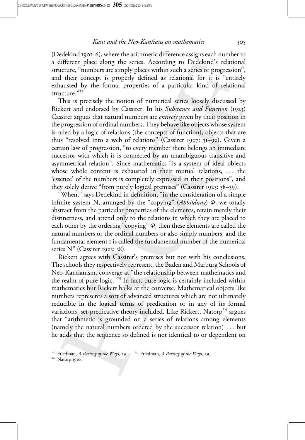(Dedekind 1901: 6), where the arithmetic difference assigns each number to a different place along the series. According to Dedekind's relational structure, "numbers are simply places within such a series or progression", and their concept is properly defined as relational for it is "entirely exhausted by the formal properties of a particular kind of relational structure."<sup>22</sup>

This is precisely the notion of numerical series loosely discussed by Rickert and endorsed by Cassirer. In his Substance and Function (1923) Cassirer argues that natural numbers are entirely given by their position in the progression of ordinal numbers. They behave like objects whose system is ruled by a logic of relations (the concepts of function), objects that are thus "resolved into a web of relations" (Cassirer 1927: 31–92). Given a certain law of progression, "to every member there belongs an immediate successor with which it is connected by an unambiguous transitive and asymmetrical relation". Since mathematics "is a system of ideal objects whose whole content is exhausted in their mutual relations, ... the 'essence' of the numbers is completely expressed in their positions", and they solely derive "from purely logical premises" (Cassirer 1923: 38–39).

"When," says Dedekind in definition, "in the consideration of a simple infinite system N, arranged by the "copying" (Abbildung)  $\Phi$ , we totally abstract from the particular properties of the elements, retain merely their distinctness, and attend only to the relations in which they are placed to each other by the ordering "copying" Φ, then these elements are called the natural numbers or the ordinal numbers or also simply numbers, and the fundamental element 1 is called the fundamental number of the numerical series N" (Cassirer 1923: 38).

Rickert agrees with Cassirer's premises but not with his conclusions. The schools they respectively represent, the Baden and Marburg Schools of Neo-Kantianism, converge at "the relationship between mathematics and the realm of pure logic."<sup>23</sup> In fact, pure logic is certainly included within mathematics but Rickert balks at the converse. Mathematical objects like numbers represents a sort of advanced structures which are not ultimately reducible in the logical terms of predication or in any of its formal variations, set-predicative theory included. Like Rickert,  $\text{Nator}^{24}$  argues that "arithmetic is grounded on a series of relations among elements (namely the natural numbers ordered by the successor relation) ... but he adds that the sequence so defined is not identical to or dependent on

<sup>&</sup>lt;sup>22</sup> Friedman, *A Parting of the Ways*, 29. <sup>23</sup> Friedman, *A Parting of the Ways*, 29. <sup>24</sup> Natorp 1910.